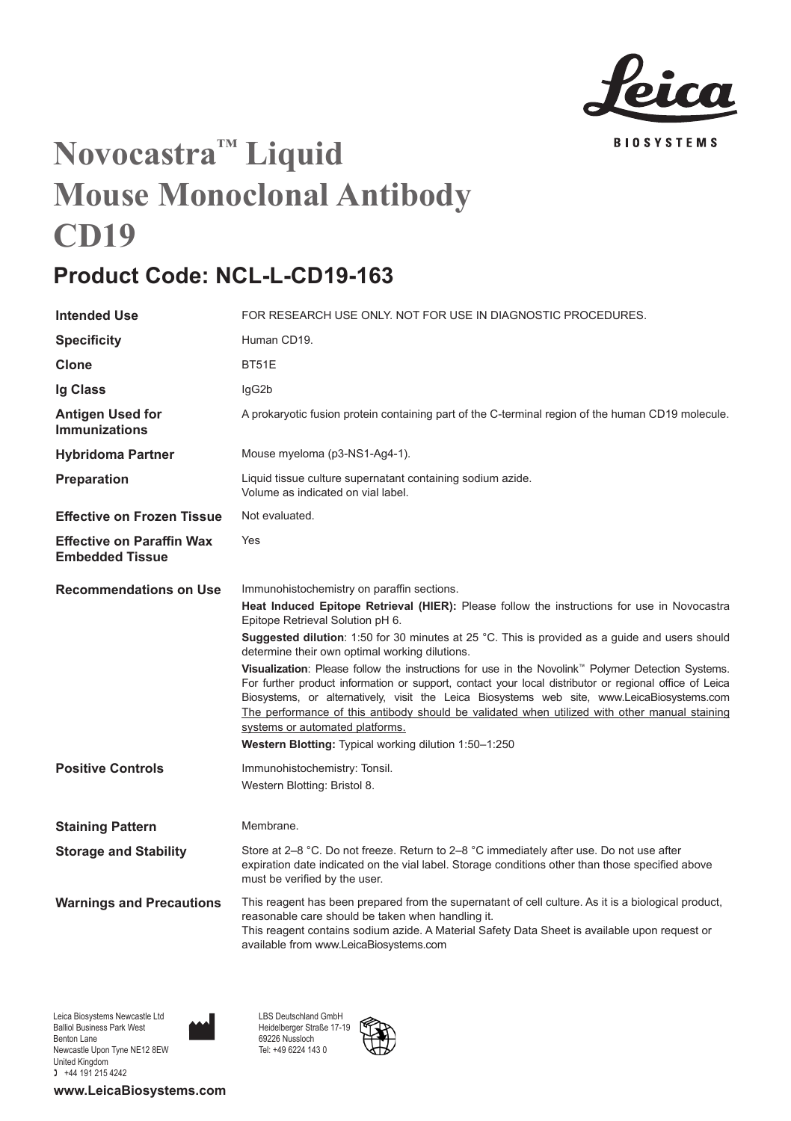

## **Novocastra™ Liquid Mouse Monoclonal Antibody CD19**

## **Product Code: NCL-L-CD19-163**

| <b>Intended Use</b>                                        | FOR RESEARCH USE ONLY. NOT FOR USE IN DIAGNOSTIC PROCEDURES.                                                                                                                                                                                                                                                                                                                                                                                                                                                                                                                                                                                                                                                                                                                                                                                |
|------------------------------------------------------------|---------------------------------------------------------------------------------------------------------------------------------------------------------------------------------------------------------------------------------------------------------------------------------------------------------------------------------------------------------------------------------------------------------------------------------------------------------------------------------------------------------------------------------------------------------------------------------------------------------------------------------------------------------------------------------------------------------------------------------------------------------------------------------------------------------------------------------------------|
| <b>Specificity</b>                                         | Human CD19.                                                                                                                                                                                                                                                                                                                                                                                                                                                                                                                                                                                                                                                                                                                                                                                                                                 |
| Clone                                                      | <b>BT51E</b>                                                                                                                                                                                                                                                                                                                                                                                                                                                                                                                                                                                                                                                                                                                                                                                                                                |
| Ig Class                                                   | lgG2b                                                                                                                                                                                                                                                                                                                                                                                                                                                                                                                                                                                                                                                                                                                                                                                                                                       |
| Antigen Used for<br><b>Immunizations</b>                   | A prokaryotic fusion protein containing part of the C-terminal region of the human CD19 molecule.                                                                                                                                                                                                                                                                                                                                                                                                                                                                                                                                                                                                                                                                                                                                           |
| <b>Hybridoma Partner</b>                                   | Mouse myeloma (p3-NS1-Ag4-1).                                                                                                                                                                                                                                                                                                                                                                                                                                                                                                                                                                                                                                                                                                                                                                                                               |
| Preparation                                                | Liquid tissue culture supernatant containing sodium azide.<br>Volume as indicated on vial label.                                                                                                                                                                                                                                                                                                                                                                                                                                                                                                                                                                                                                                                                                                                                            |
| <b>Effective on Frozen Tissue</b>                          | Not evaluated.                                                                                                                                                                                                                                                                                                                                                                                                                                                                                                                                                                                                                                                                                                                                                                                                                              |
| <b>Effective on Paraffin Wax</b><br><b>Embedded Tissue</b> | Yes                                                                                                                                                                                                                                                                                                                                                                                                                                                                                                                                                                                                                                                                                                                                                                                                                                         |
| <b>Recommendations on Use</b>                              | Immunohistochemistry on paraffin sections.<br>Heat Induced Epitope Retrieval (HIER): Please follow the instructions for use in Novocastra<br>Epitope Retrieval Solution pH 6.<br>Suggested dilution: 1:50 for 30 minutes at 25 °C. This is provided as a guide and users should<br>determine their own optimal working dilutions.<br>Visualization: Please follow the instructions for use in the Novolink™ Polymer Detection Systems.<br>For further product information or support, contact your local distributor or regional office of Leica<br>Biosystems, or alternatively, visit the Leica Biosystems web site, www.LeicaBiosystems.com<br>The performance of this antibody should be validated when utilized with other manual staining<br>systems or automated platforms.<br>Western Blotting: Typical working dilution 1:50-1:250 |
| <b>Positive Controls</b>                                   | Immunohistochemistry: Tonsil.<br>Western Blotting: Bristol 8.                                                                                                                                                                                                                                                                                                                                                                                                                                                                                                                                                                                                                                                                                                                                                                               |
| <b>Staining Pattern</b>                                    | Membrane.                                                                                                                                                                                                                                                                                                                                                                                                                                                                                                                                                                                                                                                                                                                                                                                                                                   |
| <b>Storage and Stability</b>                               | Store at 2-8 °C. Do not freeze. Return to 2-8 °C immediately after use. Do not use after<br>expiration date indicated on the vial label. Storage conditions other than those specified above<br>must be verified by the user.                                                                                                                                                                                                                                                                                                                                                                                                                                                                                                                                                                                                               |
| <b>Warnings and Precautions</b>                            | This reagent has been prepared from the supernatant of cell culture. As it is a biological product,<br>reasonable care should be taken when handling it.<br>This reagent contains sodium azide. A Material Safety Data Sheet is available upon request or<br>available from www.LeicaBiosystems.com                                                                                                                                                                                                                                                                                                                                                                                                                                                                                                                                         |

LBS Deutschland GmbH Heidelberger Straße 17-19 69226 Nussloch Tel: +49 6224 143 0

Leica Biosystems Newcastle Ltd Balliol Business Park West Benton Lane Newcastle Upon Tyne NE12 8EW United Kingdom  $+44$  191 215 4242

**www.LeicaBiosystems.com**